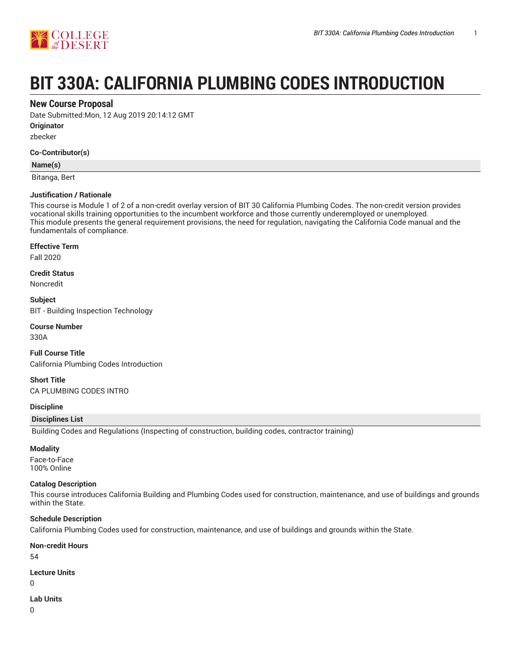



# **BIT 330A: CALIFORNIA PLUMBING CODES INTRODUCTION**

# **New Course Proposal**

Date Submitted:Mon, 12 Aug 2019 20:14:12 GMT

**Originator**

zbecker

# **Co-Contributor(s)**

# **Name(s)**

Bitanga, Bert

# **Justification / Rationale**

This course is Module 1 of 2 of a non-credit overlay version of BIT 30 California Plumbing Codes. The non-credit version provides vocational skills training opportunities to the incumbent workforce and those currently underemployed or unemployed. This module presents the general requirement provisions, the need for regulation, navigating the California Code manual and the fundamentals of compliance.

# **Effective Term**

Fall 2020

**Credit Status** Noncredit

**Subject** BIT - Building Inspection Technology

# **Course Number**

330A

**Full Course Title** California Plumbing Codes Introduction

**Short Title** CA PLUMBING CODES INTRO

# **Discipline**

# **Disciplines List**

Building Codes and Regulations (Inspecting of construction, building codes, contractor training)

# **Modality**

Face-to-Face 100% Online

# **Catalog Description**

This course introduces California Building and Plumbing Codes used for construction, maintenance, and use of buildings and grounds within the State.

# **Schedule Description**

California Plumbing Codes used for construction, maintenance, and use of buildings and grounds within the State.

# **Non-credit Hours**

54

# **Lecture Units**

 $\Omega$ 

# **Lab Units**

0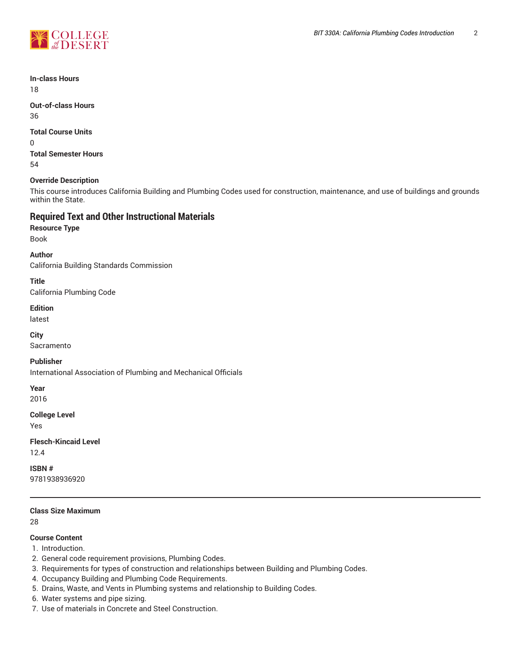

**In-class Hours** 18

**Out-of-class Hours** 36

**Total Course Units**

0 **Total Semester Hours** 54

# **Override Description**

This course introduces California Building and Plumbing Codes used for construction, maintenance, and use of buildings and grounds within the State.

# **Required Text and Other Instructional Materials**

**Resource Type** Book

**Author** California Building Standards Commission

**Title**

California Plumbing Code

**Edition**

latest

**City**

Sacramento

**Publisher**

International Association of Plumbing and Mechanical Officials

**Year**

2016

**College Level**

Yes

**Flesch-Kincaid Level** 12.4

**ISBN #** 9781938936920

**Class Size Maximum**

28

# **Course Content**

1. Introduction.

- 2. General code requirement provisions, Plumbing Codes.
- 3. Requirements for types of construction and relationships between Building and Plumbing Codes.
- 4. Occupancy Building and Plumbing Code Requirements.
- 5. Drains, Waste, and Vents in Plumbing systems and relationship to Building Codes.
- 6. Water systems and pipe sizing.
- 7. Use of materials in Concrete and Steel Construction.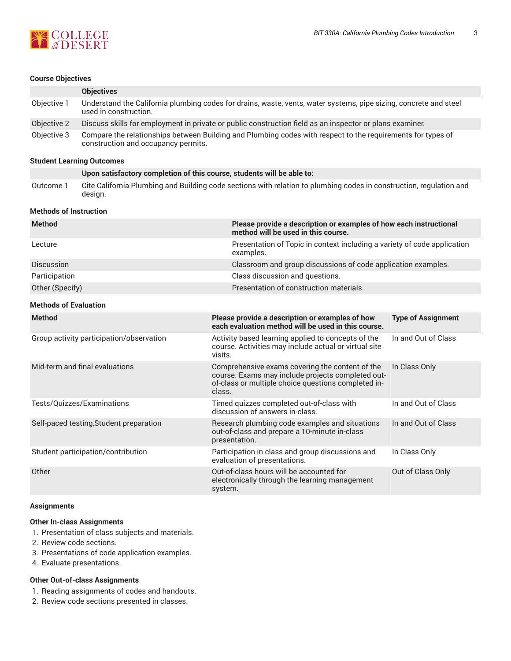

# **Course Objectives**

|             | <b>Objectives</b>                                                                                                                                  |
|-------------|----------------------------------------------------------------------------------------------------------------------------------------------------|
| Objective 1 | Understand the California plumbing codes for drains, waste, vents, water systems, pipe sizing, concrete and steel<br>used in construction.         |
| Objective 2 | Discuss skills for employment in private or public construction field as an inspector or plans examiner.                                           |
| Objective 3 | Compare the relationships between Building and Plumbing codes with respect to the requirements for types of<br>construction and occupancy permits. |

# **Student Learning Outcomes**

|           | Upon satisfactory completion of this course, students will be able to:                                              |
|-----------|---------------------------------------------------------------------------------------------------------------------|
| Outcome i | Cite California Plumbing and Building code sections with relation to plumbing codes in construction, regulation and |
|           | design.                                                                                                             |

#### **Methods of Instruction**

| <b>Method</b>     | Please provide a description or examples of how each instructional<br>method will be used in this course. |
|-------------------|-----------------------------------------------------------------------------------------------------------|
| Lecture           | Presentation of Topic in context including a variety of code application<br>examples.                     |
| <b>Discussion</b> | Classroom and group discussions of code application examples.                                             |
| Participation     | Class discussion and questions.                                                                           |
| Other (Specify)   | Presentation of construction materials.                                                                   |

# **Methods of Evaluation**

| <b>Method</b>                            | Please provide a description or examples of how<br>each evaluation method will be used in this course.                                                                | <b>Type of Assignment</b> |
|------------------------------------------|-----------------------------------------------------------------------------------------------------------------------------------------------------------------------|---------------------------|
| Group activity participation/observation | Activity based learning applied to concepts of the<br>course. Activities may include actual or virtual site<br>visits.                                                | In and Out of Class       |
| Mid-term and final evaluations           | Comprehensive exams covering the content of the<br>course. Exams may include projects completed out-<br>of-class or multiple choice questions completed in-<br>class. | In Class Only             |
| Tests/Quizzes/Examinations               | Timed quizzes completed out-of-class with<br>discussion of answers in-class.                                                                                          | In and Out of Class       |
| Self-paced testing, Student preparation  | Research plumbing code examples and situations<br>out-of-class and prepare a 10-minute in-class<br>presentation.                                                      | In and Out of Class       |
| Student participation/contribution       | Participation in class and group discussions and<br>evaluation of presentations.                                                                                      | In Class Only             |
| Other                                    | Out-of-class hours will be accounted for<br>electronically through the learning management<br>system.                                                                 | Out of Class Only         |

#### **Assignments**

#### **Other In-class Assignments**

- 1. Presentation of class subjects and materials.
- 2. Review code sections.
- 3. Presentations of code application examples.
- 4. Evaluate presentations.

# **Other Out-of-class Assignments**

- 1. Reading assignments of codes and handouts.
- 2. Review code sections presented in classes.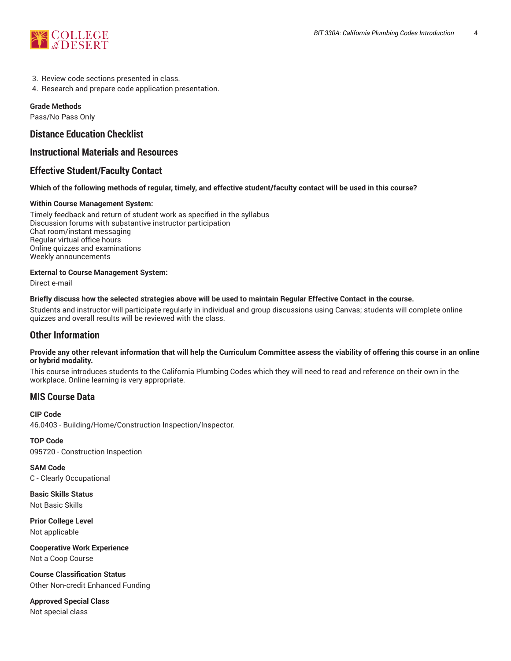

- 3. Review code sections presented in class.
- 4. Research and prepare code application presentation.

# **Grade Methods**

Pass/No Pass Only

# **Distance Education Checklist**

# **Instructional Materials and Resources**

# **Effective Student/Faculty Contact**

# Which of the following methods of regular, timely, and effective student/faculty contact will be used in this course?

# **Within Course Management System:**

Timely feedback and return of student work as specified in the syllabus Discussion forums with substantive instructor participation Chat room/instant messaging Regular virtual office hours Online quizzes and examinations Weekly announcements

# **External to Course Management System:**

Direct e-mail

# Briefly discuss how the selected strategies above will be used to maintain Regular Effective Contact in the course.

Students and instructor will participate regularly in individual and group discussions using Canvas; students will complete online quizzes and overall results will be reviewed with the class.

# **Other Information**

#### Provide any other relevant information that will help the Curriculum Committee assess the viability of offering this course in an online **or hybrid modality.**

This course introduces students to the California Plumbing Codes which they will need to read and reference on their own in the workplace. Online learning is very appropriate.

# **MIS Course Data**

**CIP Code** 46.0403 - Building/Home/Construction Inspection/Inspector.

**TOP Code** 095720 - Construction Inspection

**SAM Code** C - Clearly Occupational

**Basic Skills Status** Not Basic Skills

**Prior College Level** Not applicable

**Cooperative Work Experience** Not a Coop Course

**Course Classification Status** Other Non-credit Enhanced Funding

**Approved Special Class** Not special class